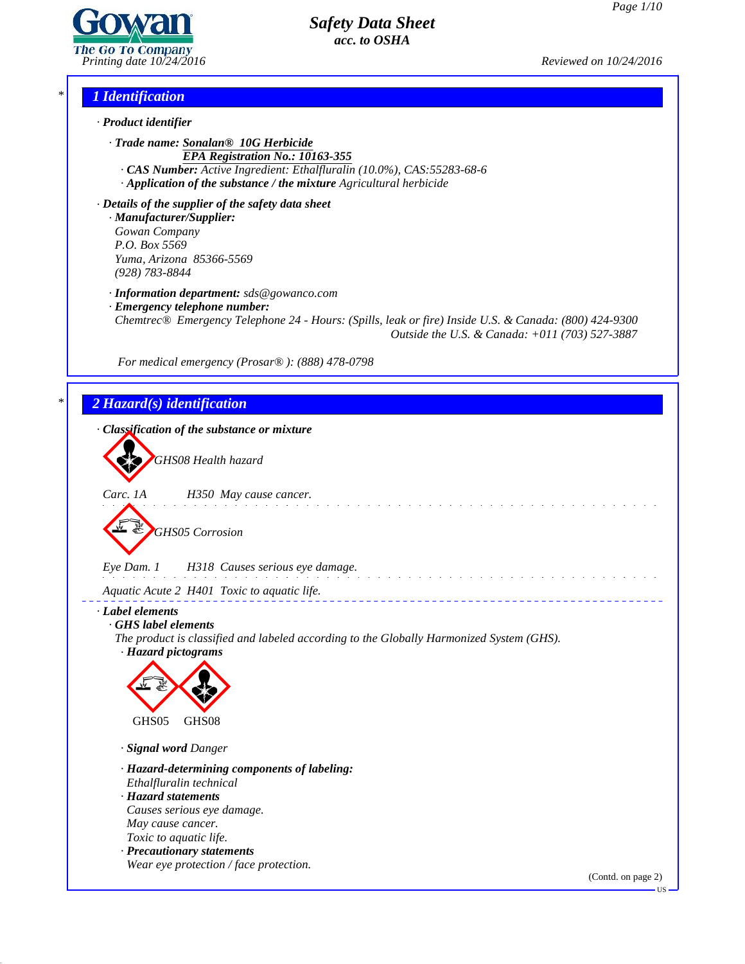

*Printing date 10/24/2016 Reviewed on 10/24/2016*

# *\* 1 Identification*

- *· Product identifier*
	- *· Trade name: Sonalan® 10G Herbicide EPA Registration No.: 10163-355*
	- *· CAS Number: Active Ingredient: Ethalfluralin (10.0%), CAS:55283-68-6 · Application of the substance / the mixture Agricultural herbicide*

*· Details of the supplier of the safety data sheet · Manufacturer/Supplier: Gowan Company P.O. Box 5569 Yuma, Arizona 85366-5569 (928) 783-8844*

*· Information department: sds@gowanco.com*

*· Emergency telephone number:*

*Chemtrec® Emergency Telephone 24 - Hours: (Spills, leak or fire) Inside U.S. & Canada: (800) 424-9300 Outside the U.S. & Canada: +011 (703) 527-3887*

*For medical emergency (Prosar® ): (888) 478-0798*

# *\* 2 Hazard(s) identification*

43.0



US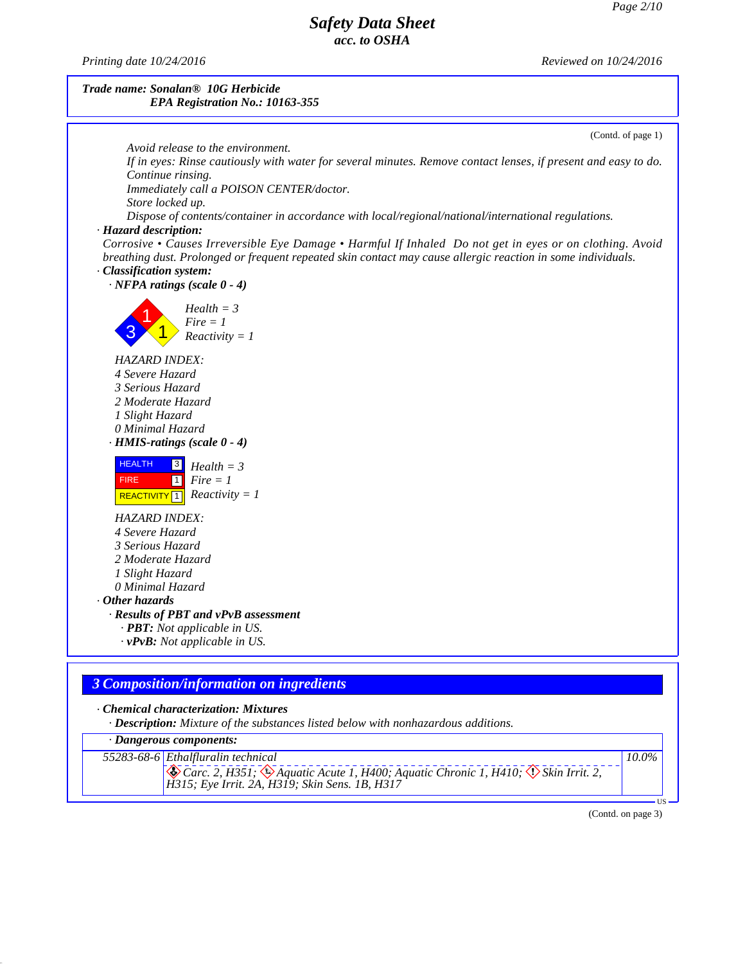*Printing date 10/24/2016 Reviewed on 10/24/2016*

## *Trade name: Sonalan® 10G Herbicide EPA Registration No.: 10163-355*



*· Dangerous components:*

43.0

*55283-68-6 Ethalfluralin technical* & Carc. 2, H351; & Aquatic Acute 1, H400; Aquatic Chronic 1, H410;  $\circledX$  Skin Irrit. 2,<br>H315; Eye Irrit. 2A, H319; Skin Sens. 1B, H317 *10.0%*

(Contd. on page 3)

 $\overline{\mathbf{U}}$ s  $\overline{\mathbf{U}}$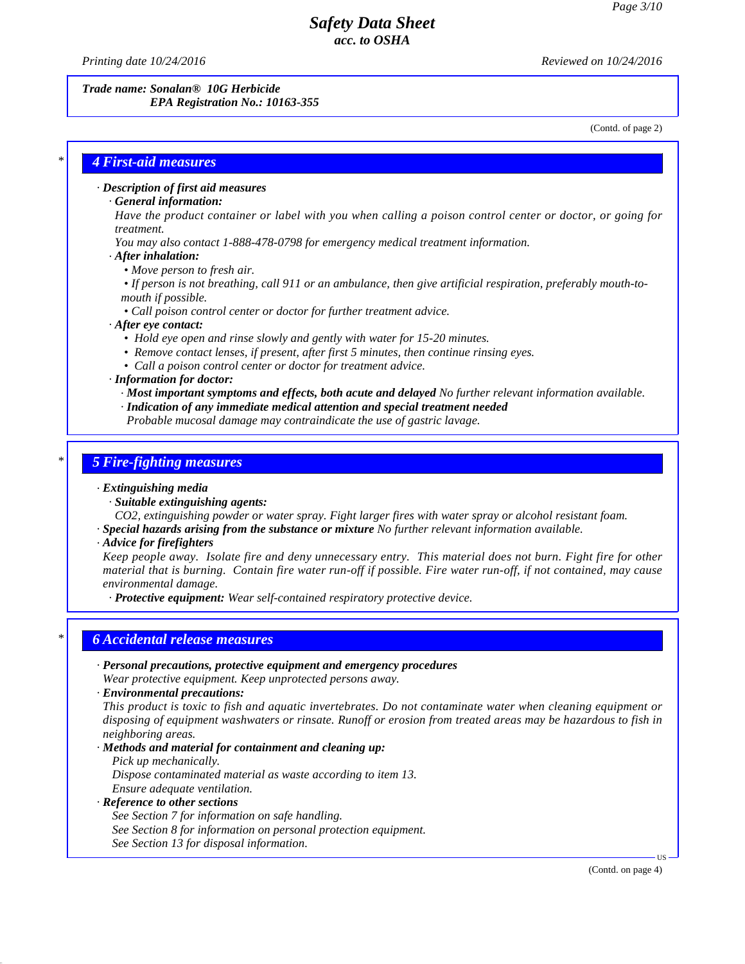*Printing date 10/24/2016 Reviewed on 10/24/2016*

*Trade name: Sonalan® 10G Herbicide EPA Registration No.: 10163-355*

(Contd. of page 2)

## *\* 4 First-aid measures*

### *· Description of first aid measures*

*· General information:*

Have the product container or label with you when calling a poison control center or doctor, or going for *treatment.*

- *You may also contact 1-888-478-0798 for emergency medical treatment information.*
- *· After inhalation:*
	- *• Move person to fresh air.*
	- If person is not breathing, call 911 or an ambulance, then give artificial respiration, preferably mouth-to*mouth if possible.*
	- *• Call poison control center or doctor for further treatment advice.*

*· After eye contact:*

- *• Hold eye open and rinse slowly and gently with water for 15-20 minutes.*
- *• Remove contact lenses, if present, after first 5 minutes, then continue rinsing eyes.*
- *• Call a poison control center or doctor for treatment advice.*
- *· Information for doctor:*

*· Most important symptoms and effects, both acute and delayed No further relevant information available.*

- *· Indication of any immediate medical attention and special treatment needed*
- *Probable mucosal damage may contraindicate the use of gastric lavage.*

## *\* 5 Fire-fighting measures*

### *· Extinguishing media*

- *· Suitable extinguishing agents:*
- *CO2, extinguishing powder or water spray. Fight larger fires with water spray or alcohol resistant foam.*
- *· Special hazards arising from the substance or mixture No further relevant information available.*

#### *· Advice for firefighters*

Keep people away. Isolate fire and deny unnecessary entry. This material does not burn. Fight fire for other material that is burning. Contain fire water run-off if possible. Fire water run-off, if not contained, may cause *environmental damage.*

*· Protective equipment: Wear self-contained respiratory protective device.*

## *\* 6 Accidental release measures*

- *· Personal precautions, protective equipment and emergency procedures Wear protective equipment. Keep unprotected persons away.*
- *· Environmental precautions:*

*This product is toxic to fish and aquatic invertebrates. Do notcontaminate water when cleaning equipment or* disposing of equipment washwaters or rinsate. Runoff or erosion from treated areas may be hazardous to fish in *neighboring areas.*

- *· Methods and material for containment and cleaning up:*
	- *Pick up mechanically.*

*Dispose contaminated material as waste according to item 13. Ensure adequate ventilation.*

## *· Reference to other sections*

43.0

*See Section 7 for information on safe handling. See Section 8 for information on personal protection equipment. See Section 13 for disposal information.*

(Contd. on page 4)

 $\overline{US}$   $\longrightarrow$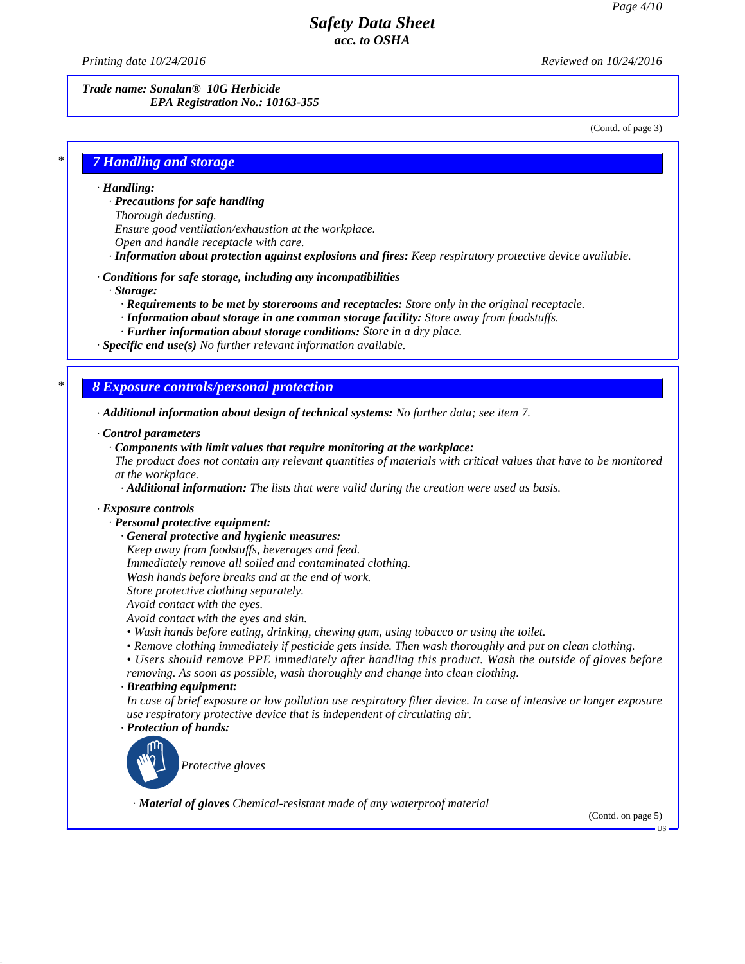*Printing date 10/24/2016 Reviewed on 10/24/2016*

*Trade name: Sonalan® 10G Herbicide EPA Registration No.: 10163-355*

(Contd. of page 3)

# *\* 7 Handling and storage*

#### *· Handling:*

*· Precautions for safe handling*

*Thorough dedusting.*

- *Ensure good ventilation/exhaustion at the workplace.*
- *Open and handle receptacle with care.*
- *· Information about protection against explosions and fires: Keep respiratory protective device available.*

#### *· Conditions for safe storage, including any incompatibilities*

*· Storage:*

- *· Requirements to be met by storerooms and receptacles: Store only in the original receptacle.*
- *· Information about storage in one common storage facility: Store away from foodstuf s.*
- *· Further information about storage conditions: Store in a dry place.*

*· Specific end use(s) No further relevant information available.*

## *\* 8 Exposure controls/personal protection*

*· Additional information about design of technical systems: No further data; see item 7.*

#### *· Control parameters*

*· Components with limit values that require monitoring at the workplace:*

The product does not contain any relevant quantities of materials with critical values that have to be monitored *at the workplace.*

*· Additional information: The lists that were valid during the creation were used as basis.*

### *· Exposure controls*

### *· Personal protective equipment:*

- *· General protective and hygienic measures:*
- *Keep away from foodstuf s, beverages and feed.*
- *Immediately remove all soiled and contaminated clothing.*
- *Wash hands before breaks and at the end of work.*
- *Store protective clothing separately. Avoid contact with the eyes.*
- *Avoid contact with the eyes and skin.*
- *• Wash hands before eating, drinking, chewing gum, using tobacco or using the toilet.*
- *• Remove clothing immediately if pesticide gets inside. Then wash thoroughly and put on clean clothing.*
- *• Users should remove PPE immediately after handling this product. Wash the outside ofgloves before removing. As soon as possible, wash thoroughly and change into clean clothing.*

### *· Breathing equipment:*

In case of brief exposure or low pollution use respiratory filter device. In case of intensive or longer exposure *use respiratory protective device that is independent of circulating air.*

*· Protection of hands:*

43.0



*· Material of gloves Chemical-resistant made of any waterproof material*

(Contd. on page 5)

US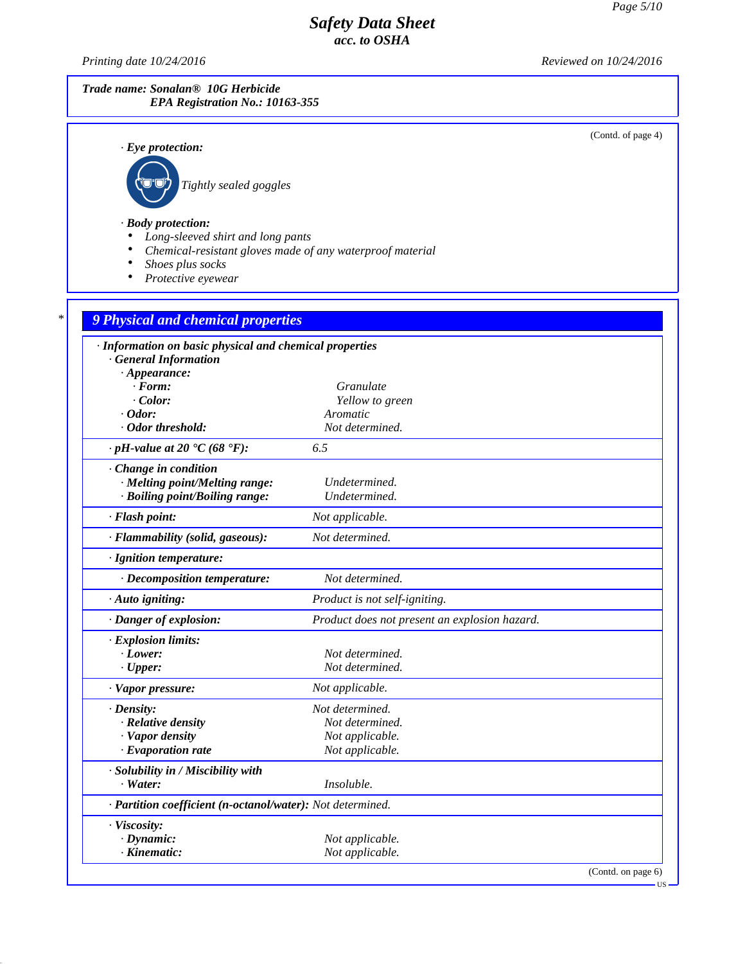*Printing date 10/24/2016 Reviewed on 10/24/2016*

43.0

# *Trade name: Sonalan® 10G Herbicide EPA Registration No.: 10163-355*

(Contd. of page 4)

| $\cdot$ Eye protection:                                                                        |                                               |
|------------------------------------------------------------------------------------------------|-----------------------------------------------|
| Tightly sealed goggles                                                                         |                                               |
|                                                                                                |                                               |
| $\cdot$ Body protection:                                                                       |                                               |
| Long-sleeved shirt and long pants<br>Chemical-resistant gloves made of any waterproof material |                                               |
| Shoes plus socks                                                                               |                                               |
| Protective eyewear                                                                             |                                               |
|                                                                                                |                                               |
| 9 Physical and chemical properties                                                             |                                               |
| · Information on basic physical and chemical properties                                        |                                               |
| <b>General Information</b>                                                                     |                                               |
| $\cdot$ Appearance:<br>$\cdot$ Form:                                                           | Granulate                                     |
| $\cdot$ Color:                                                                                 | Yellow to green                               |
| $\cdot$ Odor:                                                                                  | Aromatic                                      |
| · Odor threshold:                                                                              | Not determined.                               |
| $\cdot$ pH-value at 20 $\text{°C}$ (68 $\text{°F}$ ):                                          | 6.5                                           |
| Change in condition                                                                            |                                               |
| · Melting point/Melting range:                                                                 | Undetermined.                                 |
| · Boiling point/Boiling range:                                                                 | Undetermined.                                 |
| · Flash point:                                                                                 | Not applicable.                               |
| · Flammability (solid, gaseous):                                                               | Not determined.                               |
| · Ignition temperature:                                                                        |                                               |
| · Decomposition temperature:                                                                   | Not determined.                               |
| · Auto igniting:                                                                               | Product is not self-igniting.                 |
| · Danger of explosion:                                                                         | Product does not present an explosion hazard. |
| · Explosion limits:                                                                            |                                               |
| $\cdot$ Lower:                                                                                 | Not determined.<br>Not determined.            |
| $\cdot$ Upper:                                                                                 |                                               |
| $\cdot$ Vapor pressure:                                                                        | Not applicable.                               |
| $\cdot$ Density:<br>· Relative density                                                         | Not determined.<br>Not determined.            |
| · Vapor density                                                                                | Not applicable.                               |
| $\cdot$ Evaporation rate                                                                       | Not applicable.                               |
| · Solubility in / Miscibility with                                                             |                                               |
| $\cdot$ Water:                                                                                 | Insoluble.                                    |
| · Partition coefficient (n-octanol/water): Not determined.                                     |                                               |
| · Viscosity:                                                                                   |                                               |
| $\cdot$ Dynamic:                                                                               | Not applicable.                               |
| $\cdot$ Kinematic:                                                                             | Not applicable.                               |

(Contd. on page 6)

US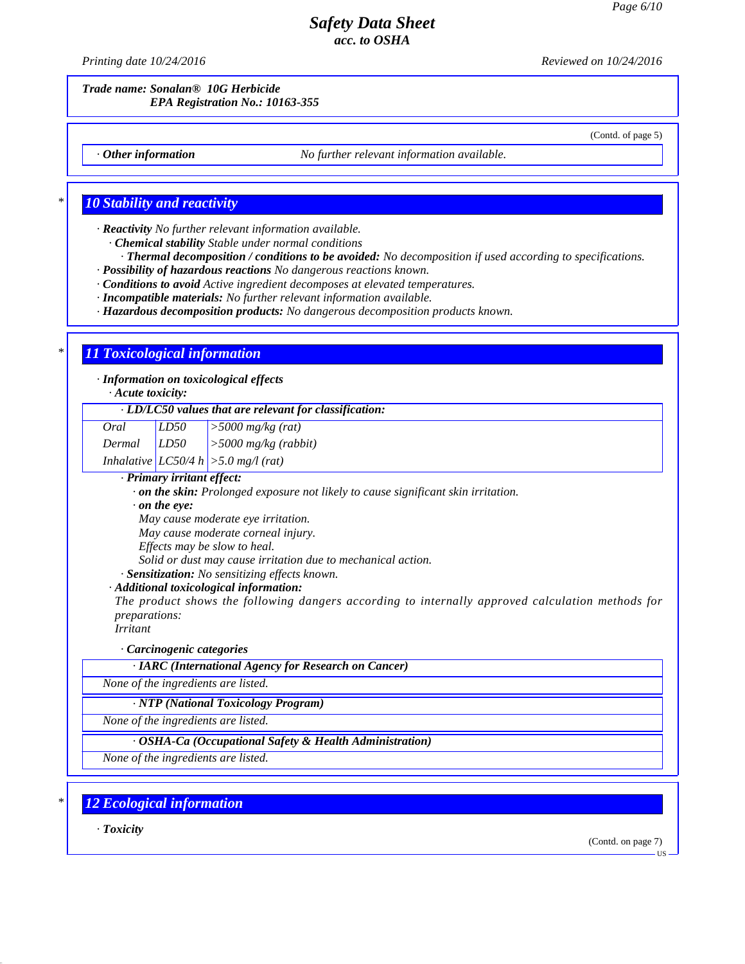*Printing date 10/24/2016 Reviewed on 10/24/2016*

*Trade name: Sonalan® 10G Herbicide EPA Registration No.: 10163-355*

(Contd. of page 5)

*· Other information No further relevant information available.*

# *\* 10 Stability and reactivity*

*· Reactivity No further relevant information available.*

*· Chemical stability Stable under normal conditions*

*· Thermal decomposition / conditions to be avoided: No decomposition if used according to specifications. · Possibility of hazardous reactions No dangerous reactions known.*

*· Conditions to avoid Active ingredient decomposes at elevated temperatures.*

*· Incompatible materials: No further relevant information available.*

*· Hazardous decomposition products: No dangerous decomposition products known.*

# *\* 11 Toxicological information*

*· Information on toxicological effects*

*· Acute toxicity:*

### *· LD/LC50 values that are relevant for classification:*

| Oral   | LD50 | $\vert$ > 5000 mg/kg (rat)               |
|--------|------|------------------------------------------|
| Dermal | LD50 | $\vert$ >5000 mg/kg (rabbit)             |
|        |      | Inhalative $ LC50/4 h $ > 5.0 mg/l (rat) |

*· Primary irritant effect:*

*· on the skin: Prolonged exposure not likely to cause significant skin irritation.*

*· on the eye:*

*May cause moderate eye irritation.*

*May cause moderate corneal injury.*

*Ef ects may be slow to heal.*

*Solid or dust may cause irritation due to mechanical action.*

*· Sensitization: No sensitizing ef ects known.*

*· Additional toxicological information:*

*The product shows the following dangers according to internally approved calculation methods for preparations:*

*Irritant*

### *· Carcinogenic categories*

*· IARC (International Agency for Research on Cancer)*

*None of the ingredients are listed.*

*· NTP (National Toxicology Program)*

*None of the ingredients are listed.*

*· OSHA-Ca (Occupational Safety & Health Administration)*

*None of the ingredients are listed.*

*\* 12 Ecological information*

*· Toxicity*

43.0

(Contd. on page 7)

**TIS**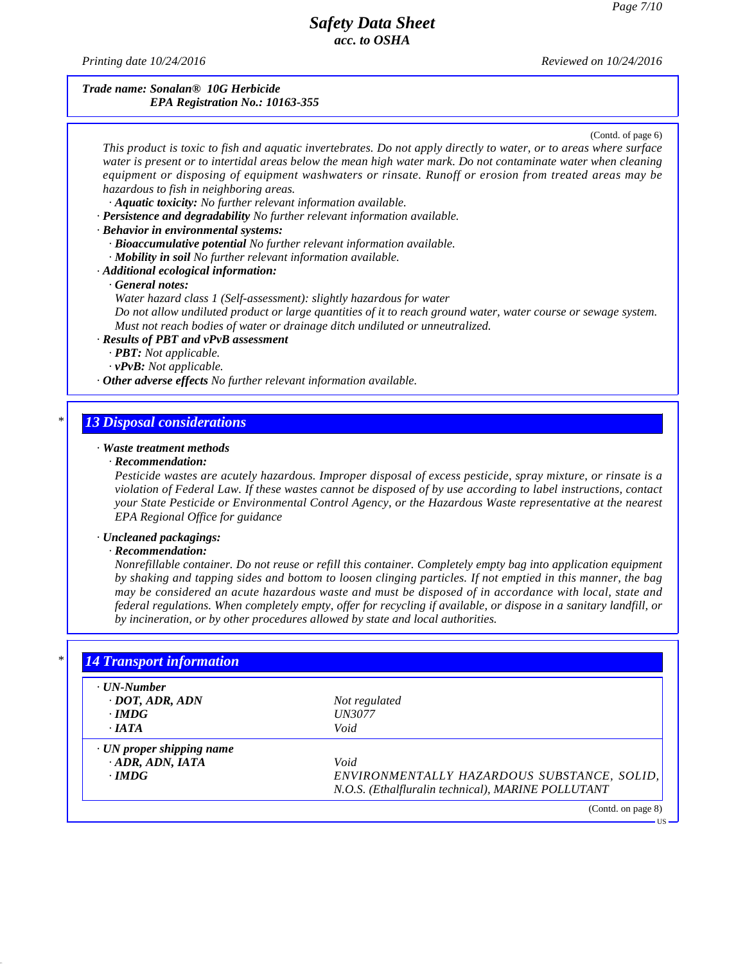*Printing date 10/24/2016 Reviewed on 10/24/2016*

### *Trade name: Sonalan® 10G Herbicide EPA Registration No.: 10163-355*

(Contd. of page 6)

This product is toxic to fish and aquatic invertebrates. Do not apply directly to water, or to areas where surface water is present or to intertidal areas below the mean high water mark. Do not contaminate water when cleaning *equipment or disposing of equipment washwaters or rinsate. Runoff or erosion from treated areas may be hazardous to fish in neighboring areas.*

*· Aquatic toxicity: No further relevant information available.*

*· Persistence and degradability No further relevant information available.*

### *· Behavior in environmental systems:*

*· Bioaccumulative potential No further relevant information available.*

*· Mobility in soil No further relevant information available.*

### *· Additional ecological information:*

## *· General notes:*

*Water hazard class 1 (Self-assessment): slightly hazardous for water*

Do not allow undiluted product or large quantities of it to reach ground water, water course or sewage system. *Must not reach bodies of water or drainage ditch undiluted or unneutralized.*

### *· Results of PBT and vPvB assessment*

*· PBT: Not applicable.*

*· vPvB: Not applicable.*

*· Other adverse effects No further relevant information available.*

# *\* 13 Disposal considerations*

## *· Waste treatment methods*

#### *· Recommendation:*

*Pesticide wastes are acutely hazardous. Improper disposal of excess pesticide, spray mixture, or rinsate is a* violation of Federal Law. If these wastes cannot be disposed of by use according to label instructions, contact *your State Pesticide or Environmental Control Agency, or the Hazardous Waste representative at the nearest EPA Regional Of ice for guidance*

### *· Uncleaned packagings:*

### *· Recommendation:*

43.0

*Nonrefillable container. Do not reuse or refill this container. Completely empty bag into application equipment* by shaking and tapping sides and bottom to loosen clinging particles. If not emptied in this manner, the bag may be considered an acute hazardous waste and must be disposed of in accordance with local, state and federal regulations. When completely empty, offer for recycling if available, or dispose in a sanitary landfill, or *by incineration, or by other procedures allowed by state and local authorities.*

| $\cdot$ UN-Number               |                                                    |
|---------------------------------|----------------------------------------------------|
| $\cdot$ DOT, ADR, ADN           | Not regulated                                      |
| $\cdot$ IMDG                    | <b>UN3077</b>                                      |
| $\cdot$ IATA                    | Void                                               |
| $\cdot$ UN proper shipping name |                                                    |
| $-ADR$ , ADN, IATA              | Void                                               |
| $\cdot$ IMDG                    | ENVIRONMENTALLY HAZARDOUS SUBSTANCE, SOLID,        |
|                                 | N.O.S. (Ethalfluralin technical), MARINE POLLUTANT |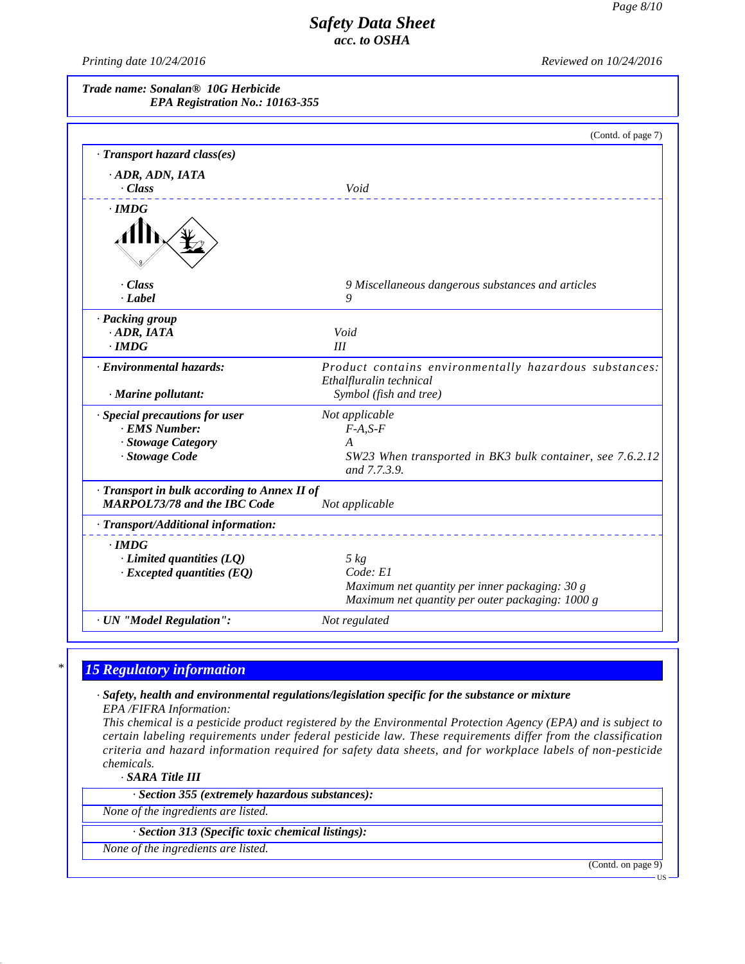*Printing date 10/24/2016 Reviewed on 10/24/2016*

*Trade name: Sonalan® 10G Herbicide EPA Registration No.: 10163-355*

| Void                                                      |
|-----------------------------------------------------------|
|                                                           |
|                                                           |
|                                                           |
|                                                           |
|                                                           |
| 9 Miscellaneous dangerous substances and articles<br>9    |
|                                                           |
|                                                           |
| Void<br>III                                               |
|                                                           |
| Product contains environmentally hazardous substances:    |
| Ethalfluralin technical                                   |
| Symbol (fish and tree)                                    |
| Not applicable                                            |
| $F-A, S-F$                                                |
| A                                                         |
| SW23 When transported in BK3 bulk container, see 7.6.2.12 |
| and 7.7.3.9.                                              |
| Transport in bulk according to Annex II of                |
| Not applicable                                            |
|                                                           |
|                                                           |
| $5 \ kg$                                                  |
| Code: E1                                                  |
| Maximum net quantity per inner packaging: 30 g            |
| Maximum net quantity per outer packaging: 1000 g          |
| Not regulated                                             |
|                                                           |

# *\* 15 Regulatory information*

*· Safety, health and environmental regulations/legislation specific for the substance or mixture EPA /FIFRA Information:*

This chemical is a pesticide product registered by the Environmental Protection Agency (EPA) and is subject to *certain labeling requirements under federal pesticide law. These requirements differ from the classification criteria and hazard information required for safety data sheets, and for workplace labels of non-pesticide chemicals.*

*· SARA Title III*

43.0

*· Section 355 (extremely hazardous substances):*

*None of the ingredients are listed.*

# *· Section 313 (Specific toxic chemical listings):*

*None of the ingredients are listed.*

(Contd. on page 9)

US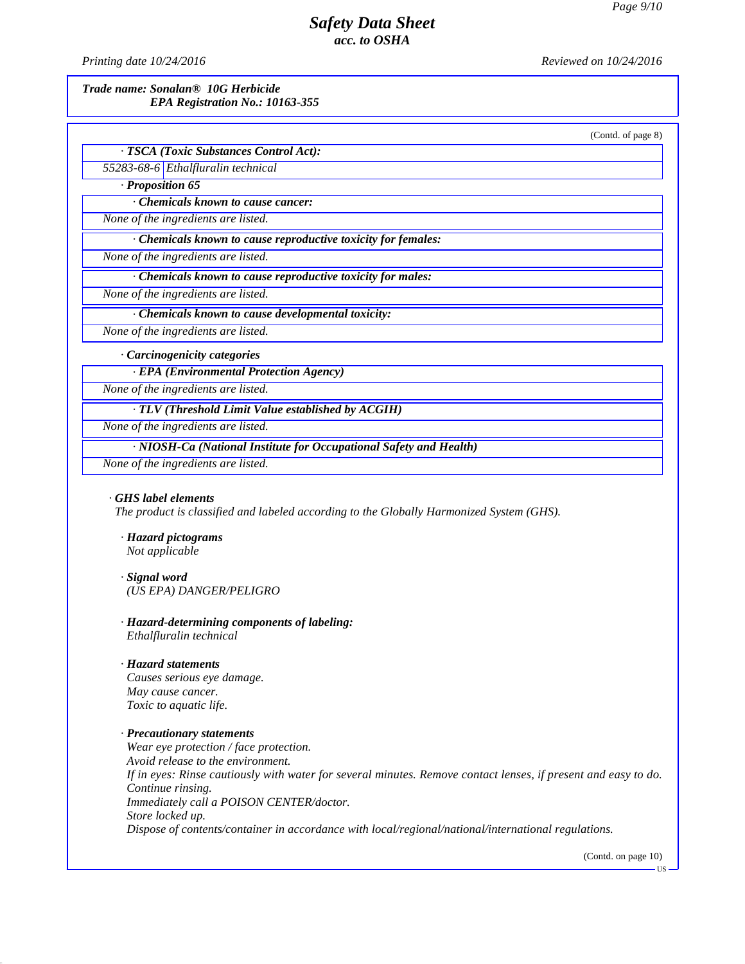*Printing date 10/24/2016 Reviewed on 10/24/2016*

*Trade name: Sonalan® 10G Herbicide EPA Registration No.: 10163-355*

(Contd. of page 8)

*· TSCA (Toxic Substances Control Act): 55283-68-6 Ethalfluralin technical*

*· Proposition 65*

*· Chemicals known to cause cancer:*

*None of the ingredients are listed.*

*· Chemicals known to cause reproductive toxicity for females:*

*None of the ingredients are listed.*

*· Chemicals known to cause reproductive toxicity for males:*

*None of the ingredients are listed.*

*· Chemicals known to cause developmental toxicity:*

*None of the ingredients are listed.*

*· Carcinogenicity categories*

*· EPA (Environmental Protection Agency)*

*None of the ingredients are listed.*

*· TLV (Threshold Limit Value established by ACGIH)*

*None of the ingredients are listed.*

*· NIOSH-Ca (National Institute for Occupational Safety and Health)*

*None of the ingredients are listed.*

#### *· GHS label elements*

*The product is classified and labeled according to the Globally Harmonized System (GHS).*

- *· Hazard pictograms Not applicable*
- *· Signal word (US EPA) DANGER/PELIGRO*
- *· Hazard-determining components of labeling: Ethalfluralin technical*

#### *· Hazard statements*

43.0

*Causes serious eye damage. May cause cancer. Toxic to aquatic life.*

#### *· Precautionary statements*

*Wear eye protection / face protection. Avoid release to the environment.* If in eyes: Rinse cautiously with water for several minutes. Remove contact lenses, if present and easy to do. *Continue rinsing. Immediately call a POISON CENTER/doctor. Store locked up. Dispose of contents/container in accordance with local/regional/national/international regulations.*

(Contd. on page 10)

US